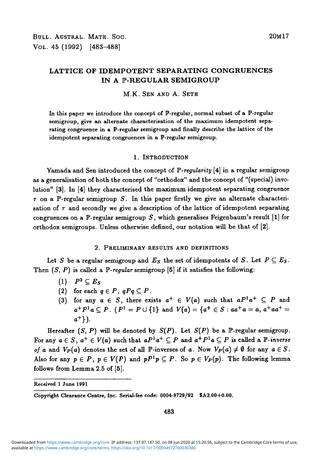# **LATTICE OF IDEMPOTENT SEPARATING CONGRUENCES IN A P-REGULAR SEMIGROUP**

### M.K. SEN AND A. SETH

In this paper we introduce the concept of P-regular, normal subset of a P-regular semigroup, give an alternate characterisation of the maximum idempotent separating congruence in a P-regular semigroup and finally describe the lattice of the idempotent separating congruences in a P-regular semigroup.

#### 1. INTRODUCTION

Yamada and Sen introduced the concept of F*'-regularity* [4] in a regular semigroup as a generalisation of both the concept of "orthodox" and the concept of "(special) involution" [3]. In [4] they characterised the maximum idempotent separating congruence  $\tau$  on a P-regular semigroup S. In this paper firstly we give an alternate characterisation of  $\tau$  and secondly we give a description of the lattice of idempotent separating congruences on a P-regular semigroup  $S$ , which generalises Feigenbaum's result [1] for orthodox semigroups. Unless otherwise defined, our notation will be that of [2].

### 2. PRELIMINARY RESULTS AND DEFINITIONS

Let S be a regular semigroup and  $E_S$  the set of idempotents of S. Let  $P \subseteq E_S$ . Then (5, P) is called a *P-regular* semigroup [5] if it satisfies the following:

- $(1)$   $P^2 \subseteq E_S$
- (2) for each  $q \in P$ ,  $qPq \subseteq P$ .
- (3) for any  $a \in S$ , there exists  $a^+ \in V(a)$  such that  $aP^1a^+ \subseteq P$  and  $a^+P^1a \subseteq P$ . ( $P^1 = P \cup \{1\}$  and  $V(a) = \{a^+ \in S : aa^+a = a, a^+aa^+ = a\}$  $a^{+}$ ).

Hereafter  $(S, P)$  will be denoted by  $S(P)$ . Let  $S(P)$  be a P-regular semigroup. For any  $a \in S$ ,  $a^+ \in V(a)$  such that  $aP^1a^+ \subseteq P$  and  $a^+P^1a \subseteq P$  is called a  $\mathbb{P}\text{-}inverse$ *of a* and  $V_P(a)$  denotes the set of all P-inverses of a. Now  $V_P(a) \neq \emptyset$  for any  $a \in S$ . Also for any  $p \in P$ ,  $p \in V(P)$  and  $pP^1p \subseteq P$ . So  $p \in V_P(p)$ . The following lemma follows from Lemma 2.5 of [5].

Received 1 June 1991

483

Copyright Clearance Centre, Inc. Serial-fee code: 0004-9729/92 SA2.00+0.00.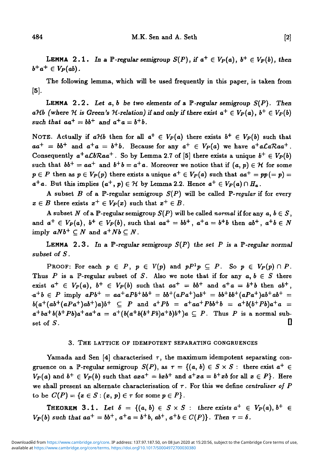LEMMA 2.1. In a  $\mathbb{P}$ -regular semigroup  $S(P)$ , if  $a^+ \in V_P(a)$ ,  $b^+ \in V_P(b)$ , then  $b^+a^+ \in V_P(ab)$ .

The following lemma, which will be used frequently in this paper, is taken from  $|5|$ .

LEMMA 2.2 . *Let a, b be two elements of a* P*-regular semigroup S(P). Then*  $aHb$  (where H is Green's H-relation) if and only if there exist  $a^+ \in V_P(a)$ ,  $b^+ \in V_P(b)$ such that  $aa^+ = bb^+$  and  $a^+a = b^+b$ .

NOTE. Actually if  $a\mathcal{H}b$  then for all  $a^+ \in V_P(a)$  there exists  $b^+ \in V_P(b)$  such that  $aa^+ = bb^+$  and  $a^+a = b^+b$ . Because for any  $a^+ \in V_P(a)$  we have  $a^+a\mathcal{L}a\mathcal{R}aa^+$ . Consequently  $a^+a\mathcal{L}b\mathcal{R}aa^+$  . So by Lemma 2.7 of [5] there exists a unique  $b^+\in V_P(b)$ such that  $bb^+ = aa^+$  and  $b^+b = a^+a$ . Moreover we notice that if  $(a, p) \in \mathcal{H}$  for some  $p \in P$  then as  $p \in V_P(p)$  there exists a unique  $a^+ \in V_P(a)$  such that  $aa^+ = pp(= p)$  $a^+a$ . But this implies  $(a^+, p) \in \mathcal{H}$  by Lemma 2.2. Hence  $a^+ \in V_P(a) \cap H_a$ .

A subset *B* of a P-regular semigroup  $S(P)$  will be called P-regular if for every  $x \in B$  there exists  $x^+ \in V_P(x)$  such that  $x^+ \in B$ .

A subset N of a P-regular semigroup  $S(P)$  will be called *normal* if for any  $a, b \in S$ , and  $a^+ \in V_P(a)$ ,  $b^+ \in V_P(b)$ , such that  $aa^+ = bb^+$ ,  $a^+a = b^+b$  then  $ab^+$ ,  $a^+b \in N$ imply  $aNb^+\subseteq N$  and  $a^+Nb\subseteq N$ .

LEMMA 2.3. In a  $\mathbb{P}$ -regular semigroup  $S(P)$  the set P is a  $\mathbb{P}$ -regular normal *subset of S.*

PROOF: For each  $p \in P$ ,  $p \in V(p)$  and  $pP^1p \subseteq P$ . So  $p \in V_P(p) \cap P$ . Thus P is a P-regular subset of S. Also we note that if for any  $a, b \in S$  there exist  $a^+ \in V_P(a)$ ,  $b^+ \in V_P(b)$  such that  $aa^+ = bb^+$  and  $a^+a = b^+b$  then  $ab^+$ ,  $a^+b \in P$  imply  $aPb^+ = aa^+aPb^+bb^+ = bb^+(aPa^+)ab^+ = bb^+bb^+(aPa^+)ab^+ab^+ =$  $b(a^+(ab^+(aPa^+)ab^+)a)b^+ \subseteq P$  and  $a^+Pb = a^+aa^+Pbb^+b = a^+b(b^+Pb)a^+a =$  $a^+ba^+b(b^+Pb)a^+aa^+a = a^+(b(a^+b(b^+Pb)a^+b)b^+)a \subseteq P$ . Thus P is a normal sub $s$  set of  $S$ .

### 3. THE LATTICE OF IDEMPOTENT SEPARATING CONGRUENCES

Yamada and Sen [4] characterised  $\tau$ , the maximum idempotent separating congruence on a P-regular semigroup  $S(P)$ , as  $\tau = \{(a, b) \in S \times S :$  there exist  $a^+ \in$  $V_P(a)$  and  $b^+ \in V_P(b)$  such that  $axa^+ = bxb^+$  and  $a^+xa = b^+xb$  for all  $x \in P$ . Here we shall present an alternate characterisation of  $\tau$ . For this we define *centraliser of P* to be  $C(P) = \{x \in S : (x, p) \in \tau \text{ for some } p \in P\}.$ 

**THEOREM 3.1.** Let  $\delta = \{(a, b) \in S \times S :$  there exists  $a^+ \in V_P(a), b^+ \in$  $V_P(b)$  such that  $aa^+ = bb^+, a^+a = b^+b, ab^+, a^+b \in C(P)$ . Then  $\tau = \delta$ .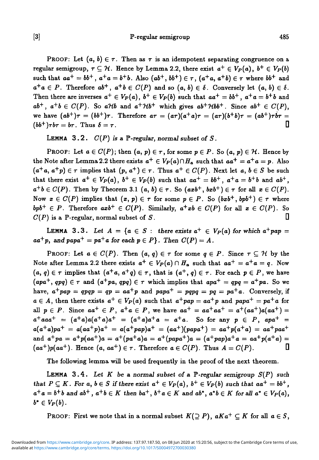## [3] IP-regular semigroup 485

**PROOF:** Let  $(a, b) \in \tau$ . Then as  $\tau$  is an idempotent separating congruence on a regular semigroup,  $\tau \subseteq \mathcal{H}$ . Hence by Lemma 2.2, there exist  $a^+ \in V_P(a)$ ,  $b^+ \in V_P(b)$  $s$ uch that  $aa^+=bb^+$  ,  $a^+a=b^+b$ . Also  $(ab^+,bb^+) \in \tau$  ,  $(a^+a,\, a^+b) \in \tau$  where  $bb^+$  and  $a^+a \in P$ . Therefore  $ab^+$ ,  $a^+b \in C(P)$  and so  $(a, b) \in \delta$ . Conversely let  $(a, b) \in \delta$ . Then there are inverses  $a^+ \in V_P(a)$ ,  $b^+ \in V_P(b)$  such that  $aa^+ = bb^+$ ,  $a^+a = b^+b$  and  $ab^+$ ,  $a^+b \in C(P)$ . So aHb and  $a^+Hb^+$  which gives  $ab^+Hbb^+$ . Since  $ab^+ \in C(P)$ , we have  $(ab^+)\tau = (bb^+) \tau$ . Therefore  $a\tau = (a\tau)(a^+a)\tau = (a\tau)(b^+b)\tau = (ab^+) \tau \dot{b}\tau =$  $(bb^+)$ *Tbr* = *br*. Thus  $\delta = \tau$ .

LEMMA 3.2.  $C(P)$  is a P-regular, normal subset of S.

PROOF: Let  $a \in C(P)$ ; then  $(a, p) \in \tau$ , for some  $p \in P$ . So  $(a, p) \in \mathcal{H}$ . Hence by the Note after Lemma 2.2 there exists  $a^+ \in V_P(a) \cap H_a$  such that  $aa^+ = a^+a = p$ . Also  $(a^+a,\,a^+p)\in\tau$  implies that  $(p,\,a^+)\in\tau$ . Thus  $a^+\in C(P).$  Next let  $a,\,b\in S$  be such that there exist  $a^+ \in V_P(a)$ ,  $b^+ \in V_P(b)$  such that  $aa^+ = bb^+$ ,  $a^+a = b^+b$  and  $ab^+$ ,  $a^+b\in C(P).$  Then by Theorem 3.1  $(a, b)\in \tau.$  So  $(axb^+, bxb^+) \in \tau$  for all  $x\in C(P).$ Now  $x \in C(P)$  implies that  $(x, p) \in \tau$  for some  $p \in P$ . So  $(bxb^+, bpb^+) \in \tau$  where  $bpb^+ \in P$ . Therefore  $axb^+ \in C(P)$ . Similarly,  $a^+xb \in C(P)$  for all  $x \in C(P)$ . So  $C(P)$  is a P-regular, normal subset of S.

LEMMA 3.3. Let  $A = \{a \in S : \text{ there exists } a^+ \in V_P(a) \text{ for which } a^+pap = 0\}$  $aa^+p$ , and  $papa^+ = pa^+a$  for each  $p \in P$ }. Then  $C(P) = A$ .

PROOF: Let  $a \in C(P)$ . Then  $(a, q) \in \tau$  for some  $q \in P$ . Since  $\tau \subseteq H$  by the Note after Lemma 2.2 there exists  $a^+ \in V_P(a) \cap H_a$  such that  $aa^+ = a^+a = q$ . Now  $(a, q) \in \tau$  implies that  $(a^+a, a^+q) \in \tau$ , that is  $(a^+, q) \in \tau$ . For each  $p \in P$ , we have  $(apa^+, qpq) \in \tau$  and  $(a^+pa, qpq) \in \tau$  which implies that  $apa^+ = qpq = a^+pa$ . So we have,  $a^+pap = qpqp = qp = aa^+p$  and  $papa^+ = pqpq = pq = pa^+a$ . Conversely, if  $a \in A$ , then there exists  $a^+ \in V_P(a)$  such that  $a^+pap = aa^+p$  and  $papa^+ = pa^+a$  for all  $p \in P$ . Since  $aa^+ \in P$ ,  $a^+a \in P$ , we have  $aa^+ = aa^+aa^+ = a^+(aa^+)a(aa^+) = a^+ba^$  $a^+ a a a^+ = (a^+ a) a (a^+ a) a^+ = (a^+ a) a^+ a = a^+ a$ . So for any  $p \in P$ ,  $a p a^+ =$  $a(a^+a)pa^+ = a(aa^+p)a^+ = a(a^+pap)a^+ = (aa^+)(papa^+) = aa^+p(a^+a) = aa^+paa^+$ and  $a^+pa = a^+p(aa^+)a = a^+(pa^+a)a = a^+(papa^+)a = (a^+pap)a^+a = aa^+p(a^+a) =$  $(aa^+)p(aa^+)$ . Hence  $(a, aa^+) \in \tau$ . Therefore  $a \in C(P)$ . Thus  $A = C(P)$ .

The following lemma will be used frequently in the proof of the next theorem.

LEMMA 3.4 . *Let K be* a *normal subset of* a P-regular *semigroup S(P) such* that  $P \subseteq K$ . For  $a, b \in S$  if there exist  $a^+ \in V_P(a)$ ,  $b^+ \in V_P(b)$  such that  $aa^+ = bb^+$ ,  $a^+a = b^+b$  and  $ab^+$ ,  $a^+b \in K$  then  $ba^+$ ,  $b^+a \in K$  and  $ab^*$ ,  $a^*b \in K$  for all  $a^* \in V_P(a)$ ,  $b^* \in V_P(b)$ .

PROOF: First we note that in a normal subset  $K(\supseteq P)$ ,  $aKa^+ \subseteq K$  for all  $a \in S$ ,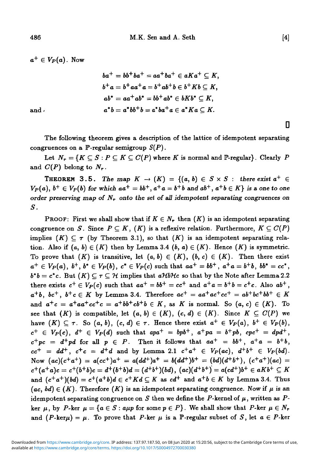$a^+ \in V_P(a)$ . Now

$$
ba^{+} = bb^{+}ba^{+} = aa^{+}ba^{+} \in aKa^{+} \subseteq K,
$$
  
\n
$$
b^{+}a = b^{+}aa^{+}a = b^{+}ab^{+}b \in b^{+}Kb \subseteq K,
$$
  
\n
$$
ab^{*} = aa^{+}ab^{*} = bb^{+}ab^{*} \in bKb^{*} \subseteq K,
$$
  
\nand  
\n
$$
a^{*}b = a^{*}bb^{+}b = a^{*}ba^{+}a \in a^{*}Ka \subseteq K.
$$

The following theorem gives a description of the lattice of idempotent separating congruences on a  $\mathbb{P}$ -regular semigroup  $S(P)$ .

Let  $N_r = \{K \subseteq S : P \subseteq K \subseteq C(P) \text{ where } K \text{ is normal and } P\text{-regular}\}.$  Clearly P and  $C(P)$  belong to  $N_r$ .

**THEOREM 3.5.** The map  $K \to (K) = \{(a, b) \in S \times S :$  there exist  $a^+ \in$  $V_P(a)$ ,  $b^+ \in V_P(b)$  for which  $aa^+ = bb^+$ ,  $a^+a = b^+b$  and  $ab^+$ ,  $a^+b \in K$  is a one to one *order preserving map of Nr onto the set of all idempotent separating congruences on S.*

PROOF: First we shall show that if  $K \in N_r$  then  $(K)$  is an idempotent separating congruence on *S*. Since  $P \subseteq K$ ,  $(K)$  is a reflexive relation. Furthermore,  $K \subseteq C(P)$ implies  $(K) \subseteq \tau$  (by Theorem 3.1), so that  $(K)$  is an idempotent separating relation. Also if  $(a, b) \in (K)$  then by Lemma 3.4  $(b, a) \in (K)$ . Hence  $(K)$  is symmetric. To prove that  $(K)$  is transitive, let  $(a, b) \in (K)$ ,  $(b, c) \in (K)$ . Then there exist  $a^+ \in V_P(a)$ ,  $b^+$ ,  $b^* \in V_P(b)$ ,  $c^* \in V_P(c)$  such that  $aa^+ = bb^+$ ,  $a^+a = b^+b$ ,  $bb^* = cc^*$ .  $b^*b = c^*c$ . But  $(K) \subset \tau \subset \mathcal{H}$  implies that  $a\mathcal{H}b\mathcal{H}c$  so that by the Note after Lemma 2.2 there exists  $c^+ \in V_P(c)$  such that  $aa^+ = bb^+ = cc^+$  and  $a^+a = b^+b = c^+c$ . Also  $ab^+$ ,  $a^+b$ ,  $bc^+$ ,  $b^+c \in K$  by Lemma 3.4. Therefore  $ac^+ = aa^+ac^+cc^+ = ab^+bc^+bb^+ \in K$ and  $a^+c = a^+aa^+cc^+c = a^+bb^+cb^+b \in K$ , as K is normal. So  $(a, c) \in (K)$ . To see that  $(K)$  is compatible, let  $(a, b) \in (K)$ ,  $(c, d) \in (K)$ . Since  $K \subseteq C(P)$  we have  $(K) \subseteq \tau$ . So  $(a, b)$ ,  $(c, d) \in \tau$ . Hence there exist  $a^+ \in V_P(a)$ ,  $b^+ \in V_P(b)$ ,  $c^+ \in V_P(c), d^+ \in V_P(d)$  such that  $apa^+ = bpb^+, a^+pa = b^+pb, cpc^+ = dpd^+,$  $c^+pc = d^+pd$  for all  $p \in P$ . Then it follows that  $aa^+ = bb^+$ ,  $a^+a = b^+b$ ,  $cc^+ = dd^+, c^+c = d^+d$  and by Lemma 2.1  $c^+a^+ \in V_P(ac), d^+b^+ \in V_P(bd)$ . Now  $(ac)(c^+a^+) = a(cc^+)a^+ = a(dd^+)a^+ = b(dd^+)b^+ = (bd)(d^+b^+), (c^+a^+)(ac) =$  $c^+(a^+a)c = c^+(b^+b)c = d^+(b^+b)d = (d^+b^+)(bd), (ac)(d^+b^+) = a(cd^+)b^+ \in aKb^+ \subseteq K$ and  $(c^+a^+)(bd) = c^+(a^+b)d \in c^+Kd \subseteq K$  as  $cd^+$  and  $a^+b \in K$  by Lemma 3.4. Thus  $(ac, bd) \in (K)$ . Therefore  $(K)$  is an idempotent separating congruence. Now if  $\mu$  is an idempotent separating congruence on  $S$  then we define the  $P$ -kernel of  $\mu$ , written as  $P$ ker  $\mu$ , by *P*-ker  $\mu = \{a \in S : a\mu p \text{ for some } p \in P\}$ . We shall show that *P*-ker  $\mu \in N_r$ and  $(P-\text{ker}\mu) = \mu$ . To prove that P-ker  $\mu$  is a  $\mathbb{P}$ -regular subset of S, let  $a \in P$ -ker

**D**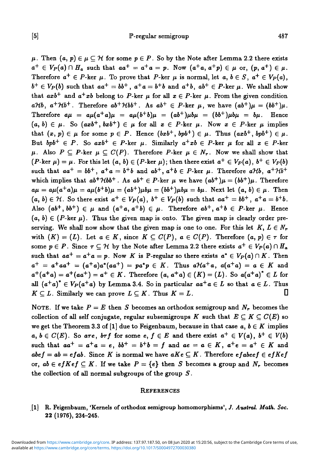$\mu$ . Then  $(a, p) \in \mu \subset \mathcal{H}$  for some  $p \in P$ . So by the Note after Lemma 2.2 there exists  $a^+ \in V_P(a) \cap H_a$  such that  $aa^+ = a^+a = p$ . Now  $(a^+a, a^+p) \in \mu$  or,  $(p, a^+) \in \mu$ . Therefore  $a^+ \in P$ -ker  $\mu$ . To prove that P-ker  $\mu$  is normal, let  $a, b \in S$ ,  $a^+ \in V_P(a)$ ,  $b^+ \in V_P(b)$  such that  $aa^+ = bb^+$ ,  $a^+a = b^+b$  and  $a^+b$ ,  $ab^+ \in P\text{-}\mathrm{ker }\mu$ . We shall show that  $axb^+$  and  $a^+xb$  belong to P-ker  $\mu$  for all  $x \in P$ -ker  $\mu$ . From the given condition  $aHb$ ,  $a^+Hb^+$ . Therefore  $ab^+Hbb^+$ . As  $ab^+ \in P$ -ker  $\mu$ , we have  $(ab^+) \mu = (bb^+) \mu$ . Therefore  $a\mu = a\mu(a^+a)\mu = a\mu(b^+b)\mu = (ab^+)\mu b\mu = (bb^+) \mu b\mu = b\mu$ . Hence  $(a, b) \in \mu$ . So  $(axb^+, bx^{+}) \in \mu$  for all  $x \in P$ -ker  $\mu$ . Now  $x \in P$ -ker  $\mu$  implies that  $(x, p) \in \mu$  for some  $p \in P$ . Hence  $(bxb^+, bpb^+) \in \mu$ . Thus  $(axb^+, bpb^+) \in \mu$ . But  $bpb^+ \in P$ . So  $axb^+ \in P$ -ker  $\mu$ . Similarly  $a^+xb \in P$ -ker  $\mu$  for all  $x \in P$ -ker  $\mu$ . Also  $P \subseteq P$ -ker  $\mu \subseteq C(P)$ . Therefore P-ker  $\mu \in N_r$ . Now we shall show that  $(P\text{-}\mathrm{ker}\;\mu)=\mu$  . For this let  $(a,\,b)\in (P\text{-}\mathrm{ker}\;\mu);$  then there exist  $a^+\in V_P(a),\,b^+\in V_P(b)$ such that  $aa^+ = bb^+$ ,  $a^+a = b^+b$  and  $ab^+$ ,  $a^+b \in P$ -ker  $\mu$ . Therefore  $a\mathcal{H}b$ ,  $a^+\mathcal{H}b^+$ which implies that  $ab^+ \mathcal{H} bb^+$ . As  $ab^+ \in P$ -ker  $\mu$  we have  $(ab^+) \mu = (bb^+) \mu$ . Therefore  $a\mu = a\mu(a^+a)\mu = a\mu(b^+b)\mu = (ab^+) \mu b\mu = (bb^+) \mu b\mu = b\mu$ . Next let  $(a, b) \in \mu$ . Then  $(a, b) \in \mathcal{H}$ . So there exist  $a^+ \in V_P(a)$ ,  $b^+ \in V_P(b)$  such that  $aa^+ = bb^+$ ,  $a^+a = b^+b$ . Also  $(ab^+, bb^+) \in \mu$  and  $(a^+a, a^+b) \in \mu$ . Therefore  $ab^+, a^+b \in P$ -ker  $\mu$ . Hence  $(a, b) \in (P-\ker \mu)$ . Thus the given map is onto. The given map is clearly order preserving. We shall now show that the given map is one to one. For this let  $K, L \in N_r$ with  $(K) = (L)$ . Let  $a \in K$ , since  $K \subseteq C(P)$ ,  $a \in C(P)$ . Therefore  $(a, p) \in \tau$  for some  $p \in P$ . Since  $\tau \subseteq H$  by the Note after Lemma 2.2 there exists  $a^+ \in V_P(a) \cap H_a$ such that  $aa^+ = a^+a = p$ . Now K is P-regular so there exists  $a^* \in V_P(a) \cap K$ . Then  $a^+ = a^+aa^+ = (a^+a)a^*(aa^+) = pa^*p \in K$ . Thus  $a\mathcal{H}a^+a$ ,  $a(a^+a) = a \in K$  and  $a^+(a^+a) = a^+(aa^+) = a^+ \in K$ . Therefore  $(a, a^+a) \in (K) = (L)$ . So  $a(a^+a)^* \in L$  for all  $(a^+a)^* \in V_P(a^+a)$  by Lemma 3.4. So in particular  $aa^+a \in L$  so that  $a \in L$ . Thus  $K \subseteq L$ . Similarly we can prove  $L \subseteq K$ . Thus  $K = L$ .

NOTE. If we take  $P = E$  then S becomes an orthodox semigroup and  $N_r$  becomes the collection of all self conjugate, regular subsemigroups K such that  $E \subseteq K \subseteq C(E)$  so we get the Theorem 3.3 of [1] due to Feigenbaum, because in that case  $a, b \in K$  implies  $a, b \in C(E)$ . So are, brf for some e,  $f \in E$  and there exist  $a^+ \in V(a)$ ,  $b^+ \in V(b)$ such that  $aa^+ = a^+a = e$ ,  $bb^+ = b^+b = f$  and  $ae = a \in K$ ,  $a^+e = a^+ \in K$  and  $abef = ab = efab$ . Since *K* is normal we have  $aKe \subseteq K$ . Therefore  $efabef \in efKef$ or,  $ab \in efKef \subseteq K$ . If we take  $P = \{e\}$  then S becomes a group and  $N_r$  becomes the collection of all normal subgroups of the group *S.*

#### **REFERENCES**

[1] R. Feigenbaum, 'Kernels of orthodox semigroup homomorphisms', *J. Austral. Math. Soc.* 22 (1976), 234-245.